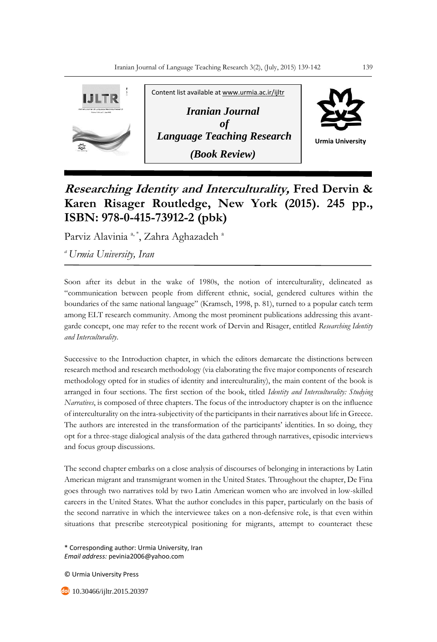

## **Researching Identity and Interculturality, Fred Dervin & Karen Risager Routledge, New York (2015). 245 pp., ISBN: 978-0-415-73912-2 (pbk)**

Parviz Alavinia<sup>a, \*</sup>, Zahra Aghazadeh<sup>a</sup>

*<sup>a</sup>Urmia University, Iran*

Soon after its debut in the wake of 1980s, the notion of interculturality, delineated as "communication between people from different ethnic, social, gendered cultures within the boundaries of the same national language" (Kramsch, 1998, p. 81), turned to a popular catch term among ELT research community. Among the most prominent publications addressing this avantgarde concept, one may refer to the recent work of Dervin and Risager, entitled *Researching Identity and Interculturality*.

Successive to the Introduction chapter, in which the editors demarcate the distinctions between research method and research methodology (via elaborating the five major components of research methodology opted for in studies of identity and interculturality), the main content of the book is arranged in four sections. The first section of the book, titled *Identity and Interculturality: Studying Narratives*, is composed of three chapters. The focus of the introductory chapter is on the influence of interculturality on the intra-subjectivity of the participants in their narratives about life in Greece. The authors are interested in the transformation of the participants' identities. In so doing, they opt for a three-stage dialogical analysis of the data gathered through narratives, episodic interviews and focus group discussions.

The second chapter embarks on a close analysis of discourses of belonging in interactions by Latin American migrant and transmigrant women in the United States. Throughout the chapter, De Fina goes through two narratives told by two Latin American women who are involved in low-skilled careers in the United States. What the author concludes in this paper, particularly on the basis of the second narrative in which the interviewee takes on a non-defensive role, is that even within situations that prescribe stereotypical positioning for migrants, attempt to counteract these

\* Corresponding author: Urmia University, Iran *Email address:* pevinia2006@yahoo.com

© Urmia University Press

10.30466/ijltr.2015.20397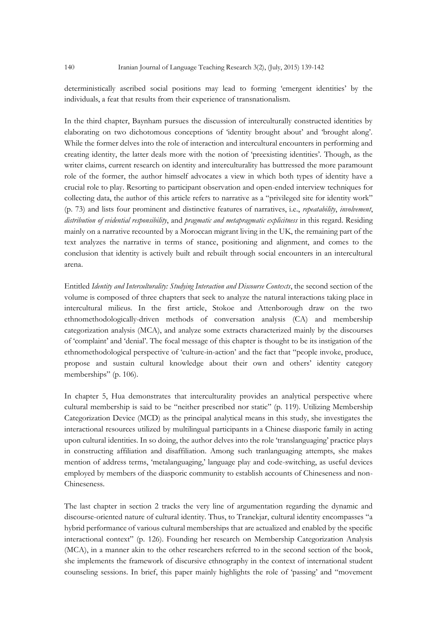deterministically ascribed social positions may lead to forming 'emergent identities' by the individuals, a feat that results from their experience of transnationalism.

In the third chapter, Baynham pursues the discussion of interculturally constructed identities by elaborating on two dichotomous conceptions of 'identity brought about' and 'brought along'. While the former delves into the role of interaction and intercultural encounters in performing and creating identity, the latter deals more with the notion of 'preexisting identities'. Though, as the writer claims, current research on identity and interculturality has buttressed the more paramount role of the former, the author himself advocates a view in which both types of identity have a crucial role to play. Resorting to participant observation and open-ended interview techniques for collecting data, the author of this article refers to narrative as a "privileged site for identity work" (p. 73) and lists four prominent and distinctive features of narratives, i.e., *repeatability*, *involvement*, *distribution of evidential responsibility*, and *pragmatic and metapragmatic explicitness* in this regard. Residing mainly on a narrative recounted by a Moroccan migrant living in the UK, the remaining part of the text analyzes the narrative in terms of stance, positioning and alignment, and comes to the conclusion that identity is actively built and rebuilt through social encounters in an intercultural arena.

Entitled *Identity and Interculturality: Studying Interaction and Discourse Contexts*, the second section of the volume is composed of three chapters that seek to analyze the natural interactions taking place in intercultural milieus. In the first article, Stokoe and Attenborough draw on the two ethnomethodologically-driven methods of conversation analysis (CA) and membership categorization analysis (MCA), and analyze some extracts characterized mainly by the discourses of 'complaint' and 'denial'. The focal message of this chapter is thought to be its instigation of the ethnomethodological perspective of 'culture-in-action' and the fact that "people invoke, produce, propose and sustain cultural knowledge about their own and others' identity category memberships" (p. 106).

In chapter 5, Hua demonstrates that interculturality provides an analytical perspective where cultural membership is said to be "neither prescribed nor static" (p. 119). Utilizing Membership Categorization Device (MCD) as the principal analytical means in this study, she investigates the interactional resources utilized by multilingual participants in a Chinese diasporic family in acting upon cultural identities. In so doing, the author delves into the role 'translanguaging' practice plays in constructing affiliation and disaffiliation. Among such tranlanguaging attempts, she makes mention of address terms, 'metalanguaging,' language play and code-switching, as useful devices employed by members of the diasporic community to establish accounts of Chineseness and non-Chineseness.

The last chapter in section 2 tracks the very line of argumentation regarding the dynamic and discourse-oriented nature of cultural identity. Thus, to Tranekjar, cultural identity encompasses "a hybrid performance of various cultural memberships that are actualized and enabled by the specific interactional context" (p. 126). Founding her research on Membership Categorization Analysis (MCA), in a manner akin to the other researchers referred to in the second section of the book, she implements the framework of discursive ethnography in the context of international student counseling sessions. In brief, this paper mainly highlights the role of 'passing' and "movement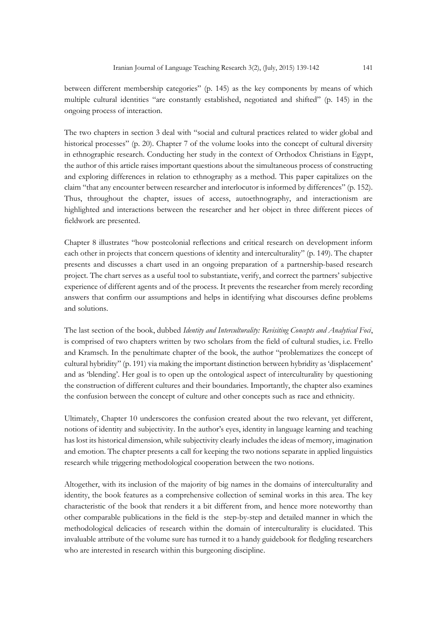between different membership categories" (p. 145) as the key components by means of which multiple cultural identities "are constantly established, negotiated and shifted" (p. 145) in the ongoing process of interaction.

The two chapters in section 3 deal with "social and cultural practices related to wider global and historical processes" (p. 20). Chapter 7 of the volume looks into the concept of cultural diversity in ethnographic research. Conducting her study in the context of Orthodox Christians in Egypt, the author of this article raises important questions about the simultaneous process of constructing and exploring differences in relation to ethnography as a method. This paper capitalizes on the claim "that any encounter between researcher and interlocutor is informed by differences" (p. 152). Thus, throughout the chapter, issues of access, autoethnography, and interactionism are highlighted and interactions between the researcher and her object in three different pieces of fieldwork are presented.

Chapter 8 illustrates "how postcolonial reflections and critical research on development inform each other in projects that concern questions of identity and interculturality" (p. 149). The chapter presents and discusses a chart used in an ongoing preparation of a partnership-based research project. The chart serves as a useful tool to substantiate, verify, and correct the partners' subjective experience of different agents and of the process. It prevents the researcher from merely recording answers that confirm our assumptions and helps in identifying what discourses define problems and solutions.

The last section of the book, dubbed *Identity and Interculturality: Revisiting Concepts and Analytical Foci*, is comprised of two chapters written by two scholars from the field of cultural studies, i.e. Frello and Kramsch. In the penultimate chapter of the book, the author "problematizes the concept of cultural hybridity" (p. 191) via making the important distinction between hybridity as 'displacement' and as 'blending'. Her goal is to open up the ontological aspect of interculturality by questioning the construction of different cultures and their boundaries. Importantly, the chapter also examines the confusion between the concept of culture and other concepts such as race and ethnicity.

Ultimately, Chapter 10 underscores the confusion created about the two relevant, yet different, notions of identity and subjectivity. In the author's eyes, identity in language learning and teaching has lost its historical dimension, while subjectivity clearly includes the ideas of memory, imagination and emotion. The chapter presents a call for keeping the two notions separate in applied linguistics research while triggering methodological cooperation between the two notions.

Altogether, with its inclusion of the majority of big names in the domains of interculturality and identity, the book features as a comprehensive collection of seminal works in this area. The key characteristic of the book that renders it a bit different from, and hence more noteworthy than other comparable publications in the field is the step-by-step and detailed manner in which the methodological delicacies of research within the domain of interculturality is elucidated. This invaluable attribute of the volume sure has turned it to a handy guidebook for fledgling researchers who are interested in research within this burgeoning discipline.